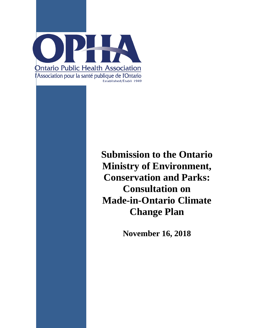

**Submission to the Ontario Ministry of Environment, Conservation and Parks: Consultation on Made-in-Ontario Climate Change Plan**

**November 16, 2018**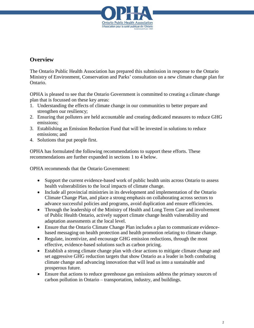

#### **Overview**

The Ontario Public Health Association has prepared this submission in response to the Ontario Ministry of Environment, Conservation and Parks' consultation on a new climate change plan for Ontario.

OPHA is pleased to see that the Ontario Government is committed to creating a climate change plan that is focussed on these key areas:

- 1. Understanding the effects of climate change in our communities to better prepare and strengthen our resiliency;
- 2. Ensuring that polluters are held accountable and creating dedicated measures to reduce GHG emissions;
- 3. Establishing an Emission Reduction Fund that will be invested in solutions to reduce emissions; and
- 4. Solutions that put people first.

OPHA has formulated the following recommendations to support these efforts. These recommendations are further expanded in sections 1 to 4 below.

OPHA recommends that the Ontario Government:

- Support the current evidence-based work of public health units across Ontario to assess health vulnerabilities to the local impacts of climate change.
- Include all provincial ministries in its development and implementation of the Ontario Climate Change Plan, and place a strong emphasis on collaborating across sectors to advance successful policies and programs, avoid duplication and ensure efficiencies.
- Through the leadership of the Ministry of Health and Long Term Care and involvement of Public Health Ontario, actively support climate change health vulnerability and adaptation assessments at the local level.
- Ensure that the Ontario Climate Change Plan includes a plan to communicate evidencebased messaging on health protection and health promotion relating to climate change.
- Regulate, incentivize, and encourage GHG emission reductions, through the most effective, evidence-based solutions such as carbon pricing.
- Establish a strong climate change plan with clear actions to mitigate climate change and set aggressive GHG reduction targets that show Ontario as a leader in both combating climate change and advancing innovation that will lead us into a sustainable and prosperous future.
- Ensure that actions to reduce greenhouse gas emissions address the primary sources of carbon pollution in Ontario – transportation, industry, and buildings.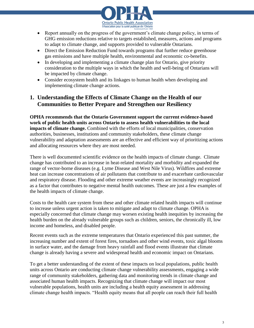

- Report annually on the progress of the government's climate change policy, in terms of GHG emission reductions relative to targets established, measures, actions and programs to adapt to climate change, and supports provided to vulnerable Ontarians.
- Direct the Emission Reduction Fund towards programs that further reduce greenhouse gas emissions and have multiple health, environmental and economic co-benefits.
- In developing and implementing a climate change plan for Ontario, give priority consideration to the multiple ways in which the health and well-being of Ontarians will be impacted by climate change.
- Consider ecosystem health and its linkages to human health when developing and implementing climate change actions.

# **1. Understanding the Effects of Climate Change on the Health of our Communities to Better Prepare and Strengthen our Resiliency**

**OPHA recommends that the Ontario Government support the current evidence-based work of public health units across Ontario to assess health vulnerabilities to the local impacts of climate change.** Combined with the efforts of local municipalities, conservation authorities, businesses, institutions and community stakeholders, these climate change vulnerability and adaptation assessments are an effective and efficient way of prioritizing actions and allocating resources where they are most needed.

There is well documented scientific evidence on the health impacts of climate change. Climate change has contributed to an increase in heat-related mortality and morbidity and expanded the range of vector-borne diseases (e.g. Lyme Disease and West Nile Virus). Wildfires and extreme heat can increase concentrations of air pollutants that contribute to and exacerbate cardiovascular and respiratory disease. Flooding and other extreme weather events are increasingly recognized as a factor that contributes to negative mental health outcomes. These are just a few examples of the health impacts of climate change.

Costs to the health care system from these and other climate related health impacts will continue to increase unless urgent action is taken to mitigate and adapt to climate change. OPHA is especially concerned that climate change may worsen existing health inequities by increasing the health burden on the already vulnerable groups such as children, seniors, the chronically ill, low income and homeless, and disabled people.

Recent events such as the extreme temperatures that Ontario experienced this past summer, the increasing number and extent of forest fires, tornadoes and other wind events, toxic algal blooms in surface water, and the damage from heavy rainfall and flood events illustrate that climate change is already having a severe and widespread health and economic impact on Ontarians.

To get a better understanding of the extent of these impacts on local populations, public health units across Ontario are conducting climate change vulnerability assessments, engaging a wide range of community stakeholders, gathering data and monitoring trends in climate change and associated human health impacts. Recognizing that climate change will impact our most vulnerable populations, health units are including a health equity assessment in addressing climate change health impacts. "Health equity means that all people can reach their full health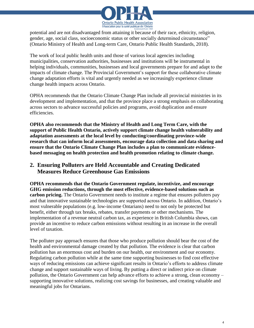

potential and are not disadvantaged from attaining it because of their race, ethnicity, religion, gender, age, social class, socioeconomic status or other socially determined circumstance" (Ontario Ministry of Health and Long-term Care, Ontario Public Health Standards, 2018).

The work of local public health units and those of various local agencies including municipalities, conservation authorities, businesses and institutions will be instrumental in helping individuals, communities, businesses and local governments prepare for and adapt to the impacts of climate change. The Provincial Government's support for these collaborative climate change adaptation efforts is vital and urgently needed as we increasingly experience climate change health impacts across Ontario.

OPHA recommends that the Ontario Climate Change Plan include all provincial ministries in its development and implementation, and that the province place a strong emphasis on collaborating across sectors to advance successful policies and programs, avoid duplication and ensure efficiencies.

**OPHA also recommends that the Ministry of Health and Long Term Care, with the support of Public Health Ontario, actively support climate change health vulnerability and adaptation assessments at the local level by conducting/coordinating province-wide research that can inform local assessments, encourage data collection and data sharing and ensure that the Ontario Climate Change Plan includes a plan to communicate evidencebased messaging on health protection and health promotion relating to climate change.**

# **2. Ensuring Polluters are Held Accountable and Creating Dedicated Measures Reduce Greenhouse Gas Emissions**

**OPHA recommends that the Ontario Government regulate, incentivize, and encourage GHG emission reductions, through the most effective, evidence-based solutions such as carbon pricing.** The Ontario Government needs to institute a regime that ensures polluters pay and that innovative sustainable technologies are supported across Ontario. In addition, Ontario's most vulnerable populations (e.g. low-income Ontarians) need to not only be protected but benefit, either through tax breaks, rebates, transfer payments or other mechanisms. The implementation of a revenue neutral carbon tax, as experience in British Columbia shows, can provide an incentive to reduce carbon emissions without resulting in an increase in the overall level of taxation.

The polluter pay approach ensures that those who produce pollution should bear the cost of the health and environmental damage created by that pollution. The evidence is clear that carbon pollution has an enormous cost and burden on our health, our environment and our economy. Regulating carbon pollution while at the same time supporting businesses to find cost effective ways of reducing emissions can achieve significant results in Ontario's efforts to address climate change and support sustainable ways of living. By putting a direct or indirect price on climate pollution, the Ontario Government can help advance efforts to achieve a strong, clean economy – supporting innovative solutions, realizing cost savings for businesses, and creating valuable and meaningful jobs for Ontarians.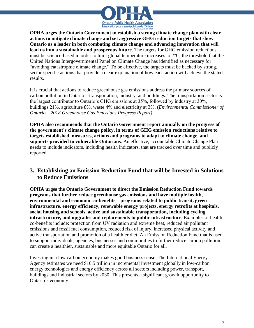

**OPHA urges the Ontario Government to establish a strong climate change plan with clear actions to mitigate climate change and set aggressive GHG reduction targets that show Ontario as a leader in both combating climate change and advancing innovation that will lead us into a sustainable and prosperous future**. The targets for GHG emission reductions must be science-based in order to limit global temperature increases to 2°C, the threshold that the United Nations Intergovernmental Panel on Climate Change has identified as necessary for "avoiding catastrophic climate change." To be effective, the targets must be backed by strong, sector-specific actions that provide a clear explanation of how each action will achieve the stated results.

It is crucial that actions to reduce greenhouse gas emissions address the primary sources of carbon pollution in Ontario – transportation, industry, and buildings. The transportation sector is the largest contributor to Ontario's GHG emissions at 35%, followed by industry at 30%, buildings 21%, agriculture 8%, waste 4% and electricity at 3%. (*Environmental Commissioner of Ontario – 2018 Greenhouse Gas Emissions Progress Report)*.

**OPHA also recommends that the Ontario Government report annually on the progress of the government's climate change policy, in terms of GHG emission reductions relative to targets established, measures, actions and programs to adapt to climate change, and supports provided to vulnerable Ontarians**. An effective, accountable Climate Change Plan needs to include indicators, including health indicators, that are tracked over time and publicly reported.

## **3. Establishing an Emission Reduction Fund that will be Invested in Solutions to Reduce Emissions**

**OPHA urges the Ontario Government to direct the Emission Reduction Fund towards programs that further reduce greenhouse gas emissions and have multiple health, environmental and economic co-benefits – programs related to public transit, green infrastructure, energy efficiency, renewable energy projects, energy retrofits at hospitals, social housing and schools, active and sustainable transportation, including cycling infrastructure, and upgrades and replacements to public infrastructure.** Examples of health co-benefits include: protection from UV radiation and extreme heat, reduced air pollutant emissions and fossil fuel consumption, reduced risk of injury, increased physical activity and active transportation and promotion of a healthier diet. An Emission Reduction Fund that is used to support individuals, agencies, businesses and communities to further reduce carbon pollution can create a healthier, sustainable and more equitable Ontario for all.

Investing in a low carbon economy makes good business sense. The International Energy Agency estimates we need \$10.5 trillion in incremental investment globally in low-carbon energy technologies and energy efficiency across all sectors including power, transport, buildings and industrial sectors by 2030. This presents a significant growth opportunity to Ontario's economy.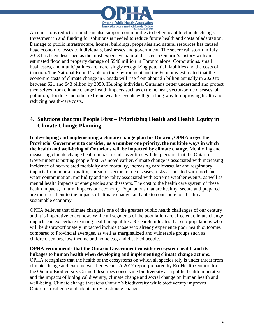

An emissions reduction fund can also support communities to better adapt to climate change. Investment in and funding for solutions is needed to reduce future health and costs of adaptation. Damage to public infrastructure, homes, buildings, properties and natural resources has caused huge economic losses to individuals, businesses and government. The severe rainstorm in July 2013 has been described as the most expensive natural disaster in Ontario's history with an estimated flood and property damage of \$940 million in Toronto alone. Corporations, small businesses, and municipalities are increasingly recognizing potential liabilities and the costs of inaction. The National Round Table on the Environment and the Economy estimated that the economic costs of climate change in Canada will rise from about \$5 billion annually in 2020 to between \$21 and \$43 billion by 2050. Helping individual Ontarians better understand and protect themselves from climate change health impacts such as extreme heat, vector-borne diseases, air pollution, flooding and other extreme weather events will go a long way to improving health and reducing health-care costs.

## **4. Solutions that put People First – Prioritizing Health and Health Equity in Climate Change Planning**

**In developing and implementing a climate change plan for Ontario, OPHA urges the Provincial Government to consider, as a number one priority, the multiple ways in which the health and well-being of Ontarians will be impacted by climate change**. Monitoring and measuring climate change health impact trends over time will help ensure that the Ontario Government is putting people first. As noted earlier, climate change is associated with increasing incidence of heat-related morbidity and mortality, increasing cardiovascular and respiratory impacts from poor air quality, spread of vector-borne diseases, risks associated with food and water contamination, morbidity and mortality associated with extreme weather events, as well as mental health impacts of emergencies and disasters. The cost to the health care system of these health impacts, in turn, impacts our economy. Populations that are healthy, secure and prepared are more resilient to the impacts of climate change, and able to contribute to a healthy, sustainable economy.

OPHA believes that climate change is one of the greatest public health challenges of our century and it is imperative to act now. While all segments of the population are affected, climate change impacts can exacerbate existing health inequalities. Research indicates that sub-populations who will be disproportionately impacted include those who already experience poor health outcomes compared to Provincial averages, as well as marginalized and vulnerable groups such as children, seniors, low income and homeless, and disabled people.

#### **OPHA recommends that the Ontario Government consider ecosystem health and its linkages to human health when developing and implementing climate change actions**.

OPHA recognizes that the health of the ecosystems on which all species rely is under threat from climate change and extreme weather events. A 2017 report prepared by EcoHealth Ontario for the Ontario Biodiversity Council describes conserving biodiversity as a public health imperative and the impacts of biological diversity, climate change and social change on human health and well-being. Climate change threatens Ontario's biodiversity while biodiversity improves Ontario's resilience and adaptability to climate change.